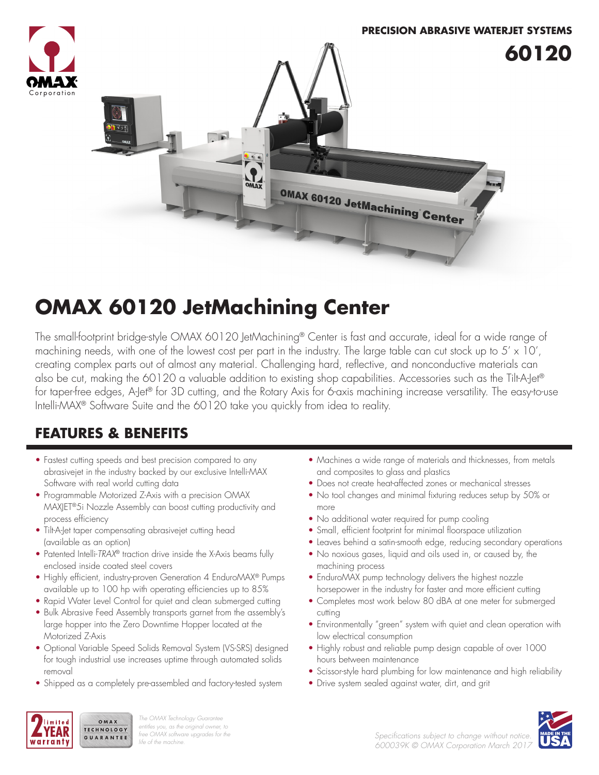

# **OMAX 60120 JetMachining Center**

The small-footprint bridge-style OMAX 60120 JetMachining® Center is fast and accurate, ideal for a wide range of machining needs, with one of the lowest cost per part in the industry. The large table can cut stock up to  $5' \times 10'$ , creating complex parts out of almost any material. Challenging hard, reflective, and nonconductive materials can also be cut, making the 60120 a valuable addition to existing shop capabilities. Accessories such as the Tilt-A-Jet® for taper-free edges, A-Jet® for 3D cutting, and the Rotary Axis for 6-axis machining increase versatility. The easy-to-use Intelli-MAX® Software Suite and the 60120 take you quickly from idea to reality.

# **FEATURES & BENEFITS**

- Fastest cutting speeds and best precision compared to any abrasivejet in the industry backed by our exclusive Intelli-MAX Software with real world cutting data
- Programmable Motorized Z-Axis with a precision OMAX MAXJET®5i Nozzle Assembly can boost cutting productivity and process efficiency
- Tilt-A-Jet taper compensating abrasivejet cutting head (available as an option)
- Patented Intelli-*TRAX*® traction drive inside the X-Axis beams fully enclosed inside coated steel covers
- Highly efficient, industry-proven Generation 4 EnduroMAX® Pumps available up to 100 hp with operating efficiencies up to 85%
- Rapid Water Level Control for quiet and clean submerged cutting
- Bulk Abrasive Feed Assembly transports garnet from the assembly's large hopper into the Zero Downtime Hopper located at the Motorized Z-Axis
- Optional Variable Speed Solids Removal System (VS-SRS) designed for tough industrial use increases uptime through automated solids removal
- Shipped as a completely pre-assembled and factory-tested system
- Machines a wide range of materials and thicknesses, from metals and composites to glass and plastics
- Does not create heat-affected zones or mechanical stresses
- No tool changes and minimal fixturing reduces setup by 50% or more
- No additional water required for pump cooling
- Small, efficient footprint for minimal floorspace utilization
- Leaves behind a satin-smooth edge, reducing secondary operations
- No noxious gases, liquid and oils used in, or caused by, the machining process
- EnduroMAX pump technology delivers the highest nozzle horsepower in the industry for faster and more efficient cutting
- Completes most work below 80 dBA at one meter for submerged cutting
- Environmentally "green" system with quiet and clean operation with low electrical consumption
- Highly robust and reliable pump design capable of over 1000 hours between maintenance
- Scissor-style hard plumbing for low maintenance and high reliability
- Drive system sealed against water, dirt, and grit



*The OMAX Technology Guarantee entitles you, as the original owner, to free OMAX software upgrades for the life of the machine.*